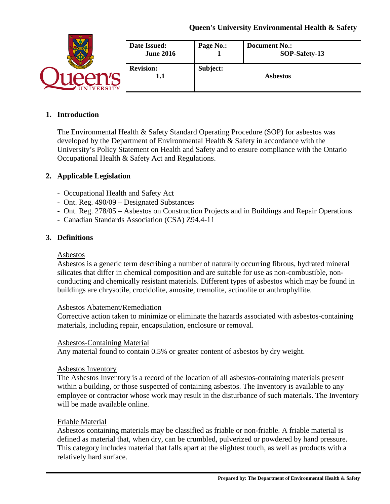|                | Date Issued:<br><b>June 2016</b> | Page No.: | <b>Document No.:</b><br>SOP-Safety-13 |
|----------------|----------------------------------|-----------|---------------------------------------|
| <b>VERSITY</b> | <b>Revision:</b><br>1.1          | Subject:  | <b>Asbestos</b>                       |

#### **1. Introduction**

The Environmental Health & Safety Standard Operating Procedure (SOP) for asbestos was developed by the Department of Environmental Health & Safety in accordance with the University's Policy Statement on Health and Safety and to ensure compliance with the Ontario Occupational Health & Safety Act and Regulations.

### **2. Applicable Legislation**

- Occupational Health and Safety Act
- Ont. Reg. 490/09 Designated Substances
- Ont. Reg. 278/05 Asbestos on Construction Projects and in Buildings and Repair Operations
- Canadian Standards Association (CSA) Z94.4-11

#### **3. Definitions**

#### Asbestos

Asbestos is a generic term describing a number of naturally occurring fibrous, hydrated mineral silicates that differ in chemical composition and are suitable for use as non-combustible, nonconducting and chemically resistant materials. Different types of asbestos which may be found in buildings are chrysotile, crocidolite, amosite, tremolite, actinolite or anthrophyllite.

#### Asbestos Abatement/Remediation

Corrective action taken to minimize or eliminate the hazards associated with asbestos-containing materials, including repair, encapsulation, enclosure or removal.

#### Asbestos-Containing Material

Any material found to contain 0.5% or greater content of asbestos by dry weight.

#### Asbestos Inventory

The Asbestos Inventory is a record of the location of all asbestos-containing materials present within a building, or those suspected of containing asbestos. The Inventory is available to any employee or contractor whose work may result in the disturbance of such materials. The Inventory will be made available online.

#### Friable Material

Asbestos containing materials may be classified as friable or non-friable. A friable material is defined as material that, when dry, can be crumbled, pulverized or powdered by hand pressure. This category includes material that falls apart at the slightest touch, as well as products with a relatively hard surface.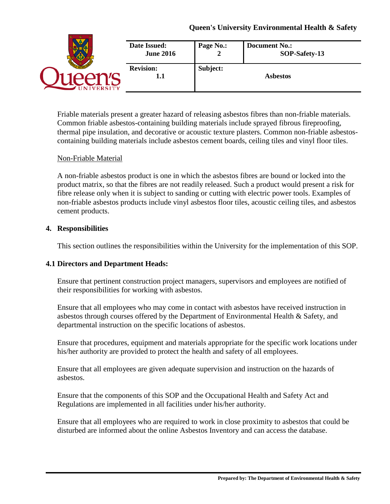|                  | <b>Date Issued:</b><br><b>June 2016</b> | Page No.: | <b>Document No.:</b><br>SOP-Safety-13 |
|------------------|-----------------------------------------|-----------|---------------------------------------|
| <b>JIVERSITY</b> | <b>Revision:</b><br>1.1                 | Subject:  | <b>Asbestos</b>                       |

Friable materials present a greater hazard of releasing asbestos fibres than non-friable materials. Common friable asbestos-containing building materials include sprayed fibrous fireproofing, thermal pipe insulation, and decorative or acoustic texture plasters. Common non-friable asbestoscontaining building materials include asbestos cement boards, ceiling tiles and vinyl floor tiles.

#### Non-Friable Material

A non-friable asbestos product is one in which the asbestos fibres are bound or locked into the product matrix, so that the fibres are not readily released. Such a product would present a risk for fibre release only when it is subject to sanding or cutting with electric power tools. Examples of non-friable asbestos products include vinyl asbestos floor tiles, acoustic ceiling tiles, and asbestos cement products.

#### **4. Responsibilities**

This section outlines the responsibilities within the University for the implementation of this SOP.

#### **4.1 Directors and Department Heads:**

Ensure that pertinent construction project managers, supervisors and employees are notified of their responsibilities for working with asbestos.

Ensure that all employees who may come in contact with asbestos have received instruction in asbestos through courses offered by the Department of Environmental Health  $\&$  Safety, and departmental instruction on the specific locations of asbestos.

Ensure that procedures, equipment and materials appropriate for the specific work locations under his/her authority are provided to protect the health and safety of all employees.

Ensure that all employees are given adequate supervision and instruction on the hazards of asbestos.

Ensure that the components of this SOP and the Occupational Health and Safety Act and Regulations are implemented in all facilities under his/her authority.

Ensure that all employees who are required to work in close proximity to asbestos that could be disturbed are informed about the online Asbestos Inventory and can access the database.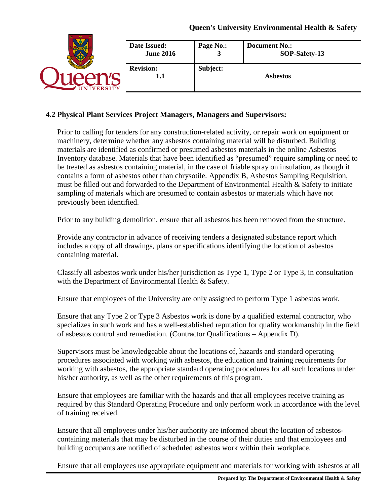|                 | Date Issued:            | Page No.: | <b>Document No.:</b> |
|-----------------|-------------------------|-----------|----------------------|
|                 | <b>June 2016</b>        | 3         | SOP-Safety-13        |
| <b>IVERSITY</b> | <b>Revision:</b><br>1.1 | Subject:  | <b>Asbestos</b>      |

### **4.2 Physical Plant Services Project Managers, Managers and Supervisors:**

Prior to calling for tenders for any construction-related activity, or repair work on equipment or machinery, determine whether any asbestos containing material will be disturbed. Building materials are identified as confirmed or presumed asbestos materials in the online Asbestos Inventory database. Materials that have been identified as "presumed" require sampling or need to be treated as asbestos containing material, in the case of friable spray on insulation, as though it contains a form of asbestos other than chrysotile. Appendix B, Asbestos Sampling Requisition, must be filled out and forwarded to the Department of Environmental Health & Safety to initiate sampling of materials which are presumed to contain asbestos or materials which have not previously been identified.

Prior to any building demolition, ensure that all asbestos has been removed from the structure.

Provide any contractor in advance of receiving tenders a designated substance report which includes a copy of all drawings, plans or specifications identifying the location of asbestos containing material.

Classify all asbestos work under his/her jurisdiction as Type 1, Type 2 or Type 3, in consultation with the Department of Environmental Health & Safety.

Ensure that employees of the University are only assigned to perform Type 1 asbestos work.

Ensure that any Type 2 or Type 3 Asbestos work is done by a qualified external contractor, who specializes in such work and has a well-established reputation for quality workmanship in the field of asbestos control and remediation. (Contractor Qualifications – Appendix D).

Supervisors must be knowledgeable about the locations of, hazards and standard operating procedures associated with working with asbestos, the education and training requirements for working with asbestos, the appropriate standard operating procedures for all such locations under his/her authority, as well as the other requirements of this program.

Ensure that employees are familiar with the hazards and that all employees receive training as required by this Standard Operating Procedure and only perform work in accordance with the level of training received.

Ensure that all employees under his/her authority are informed about the location of asbestoscontaining materials that may be disturbed in the course of their duties and that employees and building occupants are notified of scheduled asbestos work within their workplace.

Ensure that all employees use appropriate equipment and materials for working with asbestos at all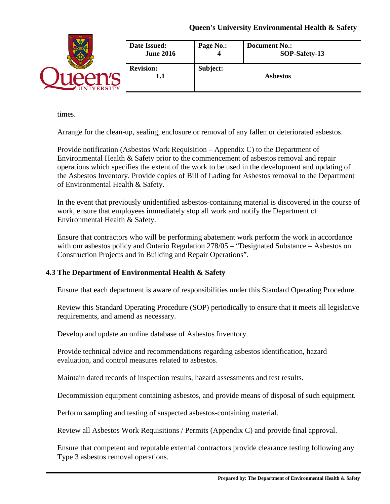|                 | <b>Date Issued:</b>     | Page No.: | <b>Document No.:</b> |
|-----------------|-------------------------|-----------|----------------------|
|                 | <b>June 2016</b>        | 4         | SOP-Safety-13        |
| <b>IVERSITY</b> | <b>Revision:</b><br>1.1 | Subject:  | <b>Asbestos</b>      |

times.

Arrange for the clean-up, sealing, enclosure or removal of any fallen or deteriorated asbestos.

Provide notification (Asbestos Work Requisition – Appendix C) to the Department of Environmental Health & Safety prior to the commencement of asbestos removal and repair operations which specifies the extent of the work to be used in the development and updating of the Asbestos Inventory. Provide copies of Bill of Lading for Asbestos removal to the Department of Environmental Health & Safety.

In the event that previously unidentified asbestos-containing material is discovered in the course of work, ensure that employees immediately stop all work and notify the Department of Environmental Health & Safety.

Ensure that contractors who will be performing abatement work perform the work in accordance with our asbestos policy and Ontario Regulation 278/05 – "Designated Substance – Asbestos on Construction Projects and in Building and Repair Operations".

# **4.3 The Department of Environmental Health & Safety**

Ensure that each department is aware of responsibilities under this Standard Operating Procedure.

Review this Standard Operating Procedure (SOP) periodically to ensure that it meets all legislative requirements, and amend as necessary.

Develop and update an online database of Asbestos Inventory.

Provide technical advice and recommendations regarding asbestos identification, hazard evaluation, and control measures related to asbestos.

Maintain dated records of inspection results, hazard assessments and test results.

Decommission equipment containing asbestos, and provide means of disposal of such equipment.

Perform sampling and testing of suspected asbestos-containing material.

Review all Asbestos Work Requisitions / Permits (Appendix C) and provide final approval.

Ensure that competent and reputable external contractors provide clearance testing following any Type 3 asbestos removal operations.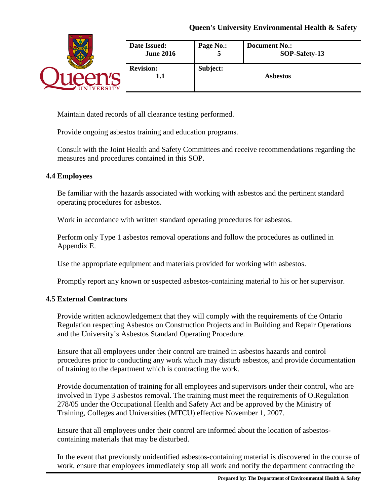|                 | Date Issued:            | Page No.:     | <b>Document No.:</b> |
|-----------------|-------------------------|---------------|----------------------|
|                 | <b>June 2016</b>        | $\mathcal{D}$ | SOP-Safety-13        |
| <b>IVERSITY</b> | <b>Revision:</b><br>1.1 | Subject:      | <b>Asbestos</b>      |

Maintain dated records of all clearance testing performed.

Provide ongoing asbestos training and education programs.

Consult with the Joint Health and Safety Committees and receive recommendations regarding the measures and procedures contained in this SOP.

# **4.4 Employees**

Be familiar with the hazards associated with working with asbestos and the pertinent standard operating procedures for asbestos.

Work in accordance with written standard operating procedures for asbestos.

Perform only Type 1 asbestos removal operations and follow the procedures as outlined in Appendix E.

Use the appropriate equipment and materials provided for working with asbestos.

Promptly report any known or suspected asbestos-containing material to his or her supervisor.

# **4.5 External Contractors**

Provide written acknowledgement that they will comply with the requirements of the Ontario Regulation respecting Asbestos on Construction Projects and in Building and Repair Operations and the University's Asbestos Standard Operating Procedure.

Ensure that all employees under their control are trained in asbestos hazards and control procedures prior to conducting any work which may disturb asbestos, and provide documentation of training to the department which is contracting the work.

Provide documentation of training for all employees and supervisors under their control, who are involved in Type 3 asbestos removal. The training must meet the requirements of O.Regulation 278/05 under the Occupational Health and Safety Act and be approved by the Ministry of Training, Colleges and Universities (MTCU) effective November 1, 2007.

Ensure that all employees under their control are informed about the location of asbestoscontaining materials that may be disturbed.

In the event that previously unidentified asbestos-containing material is discovered in the course of work, ensure that employees immediately stop all work and notify the department contracting the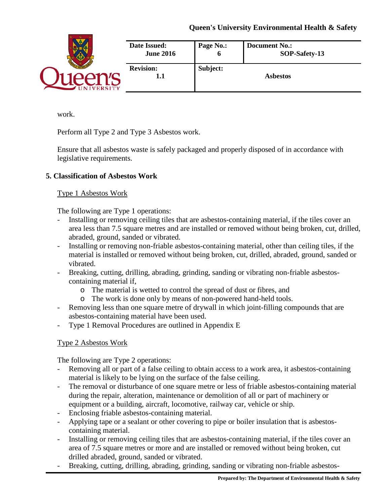|                | Date Issued:            | Page No.: | <b>Document No.:</b> |
|----------------|-------------------------|-----------|----------------------|
|                | <b>June 2016</b>        | o         | SOP-Safety-13        |
| <b>VERSITY</b> | <b>Revision:</b><br>1.1 | Subject:  | <b>Asbestos</b>      |

work.

Perform all Type 2 and Type 3 Asbestos work.

Ensure that all asbestos waste is safely packaged and properly disposed of in accordance with legislative requirements.

# **5. Classification of Asbestos Work**

# Type 1 Asbestos Work

The following are Type 1 operations:

- Installing or removing ceiling tiles that are asbestos-containing material, if the tiles cover an area less than 7.5 square metres and are installed or removed without being broken, cut, drilled, abraded, ground, sanded or vibrated.
- Installing or removing non-friable asbestos-containing material, other than ceiling tiles, if the material is installed or removed without being broken, cut, drilled, abraded, ground, sanded or vibrated.
- Breaking, cutting, drilling, abrading, grinding, sanding or vibrating non-friable asbestoscontaining material if,
	- o The material is wetted to control the spread of dust or fibres, and
	- o The work is done only by means of non-powered hand-held tools.
- Removing less than one square metre of drywall in which joint-filling compounds that are asbestos-containing material have been used.
- Type 1 Removal Procedures are outlined in Appendix E

# Type 2 Asbestos Work

The following are Type 2 operations:

- Removing all or part of a false ceiling to obtain access to a work area, it asbestos-containing material is likely to be lying on the surface of the false ceiling.
- The removal or disturbance of one square metre or less of friable asbestos-containing material during the repair, alteration, maintenance or demolition of all or part of machinery or equipment or a building, aircraft, locomotive, railway car, vehicle or ship.
- Enclosing friable asbestos-containing material.
- Applying tape or a sealant or other covering to pipe or boiler insulation that is asbestoscontaining material.
- Installing or removing ceiling tiles that are asbestos-containing material, if the tiles cover an area of 7.5 square metres or more and are installed or removed without being broken, cut drilled abraded, ground, sanded or vibrated.
- Breaking, cutting, drilling, abrading, grinding, sanding or vibrating non-friable asbestos-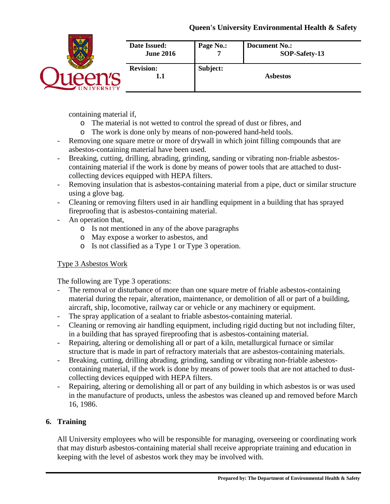|                | Date Issued:<br><b>June 2016</b> | Page No.: | <b>Document No.:</b><br>SOP-Safety-13 |
|----------------|----------------------------------|-----------|---------------------------------------|
| <b>VERSITY</b> | <b>Revision:</b><br>1.1          | Subject:  | <b>Asbestos</b>                       |

containing material if,

- o The material is not wetted to control the spread of dust or fibres, and
- o The work is done only by means of non-powered hand-held tools.
- Removing one square metre or more of drywall in which joint filling compounds that are asbestos-containing material have been used.
- Breaking, cutting, drilling, abrading, grinding, sanding or vibrating non-friable asbestoscontaining material if the work is done by means of power tools that are attached to dustcollecting devices equipped with HEPA filters.
- Removing insulation that is asbestos-containing material from a pipe, duct or similar structure using a glove bag.
- Cleaning or removing filters used in air handling equipment in a building that has sprayed fireproofing that is asbestos-containing material.
- An operation that,
	- o Is not mentioned in any of the above paragraphs
	- o May expose a worker to asbestos, and
	- o Is not classified as a Type 1 or Type 3 operation.

# Type 3 Asbestos Work

The following are Type 3 operations:

- The removal or disturbance of more than one square metre of friable asbestos-containing material during the repair, alteration, maintenance, or demolition of all or part of a building, aircraft, ship, locomotive, railway car or vehicle or any machinery or equipment.
- The spray application of a sealant to friable asbestos-containing material.
- Cleaning or removing air handling equipment, including rigid ducting but not including filter, in a building that has sprayed fireproofing that is asbestos-containing material.
- Repairing, altering or demolishing all or part of a kiln, metallurgical furnace or similar structure that is made in part of refractory materials that are asbestos-containing materials.
- Breaking, cutting, drilling abrading, grinding, sanding or vibrating non-friable asbestoscontaining material, if the work is done by means of power tools that are not attached to dustcollecting devices equipped with HEPA filters.
- Repairing, altering or demolishing all or part of any building in which asbestos is or was used in the manufacture of products, unless the asbestos was cleaned up and removed before March 16, 1986.

# **6. Training**

All University employees who will be responsible for managing, overseeing or coordinating work that may disturb asbestos-containing material shall receive appropriate training and education in keeping with the level of asbestos work they may be involved with.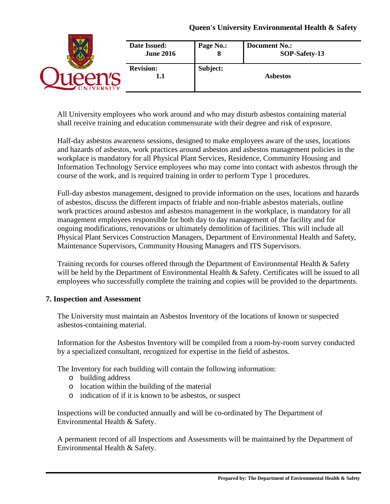|                  | Date Issued:            | Page No.: | <b>Document No.:</b> |
|------------------|-------------------------|-----------|----------------------|
|                  | <b>June 2016</b>        | 8         | SOP-Safety-13        |
| <b>NIVERSITY</b> | <b>Revision:</b><br>1.1 | Subject:  | <b>Asbestos</b>      |

All University employees who work around and who may disturb asbestos containing material shall receive training and education commensurate with their degree and risk of exposure.

Half-day asbestos awareness sessions, designed to make employees aware of the uses, locations and hazards of asbestos, work practices around asbestos and asbestos management policies in the workplace is mandatory for all Physical Plant Services, Residence, Community Housing and Information Technology Service employees who may come into contact with asbestos through the course of the work, and is required training in order to perform Type 1 procedures.

Full-day asbestos management, designed to provide information on the uses, locations and hazards of asbestos, discuss the different impacts of friable and non-friable asbestos materials, outline work practices around asbestos and asbestos management in the workplace, is mandatory for all management employees responsible for both day to day management of the facility and for ongoing modifications, renovations or ultimately demolition of facilities. This will include all Physical Plant Services Construction Managers, Department of Environmental Health and Safety, Maintenance Supervisors, Community Housing Managers and ITS Supervisors.

Training records for courses offered through the Department of Environmental Health & Safety will be held by the Department of Environmental Health & Safety. Certificates will be issued to all employees who successfully complete the training and copies will be provided to the departments.

# **7. Inspection and Assessment**

The University must maintain an Asbestos Inventory of the locations of known or suspected asbestos-containing material.

Information for the Asbestos Inventory will be compiled from a room-by-room survey conducted by a specialized consultant, recognized for expertise in the field of asbestos.

The Inventory for each building will contain the following information:

- o building address
- o location within the building of the material
- o indication of if it is known to be asbestos, or suspect

Inspections will be conducted annually and will be co-ordinated by The Department of Environmental Health & Safety.

A permanent record of all Inspections and Assessments will be maintained by the Department of Environmental Health & Safety.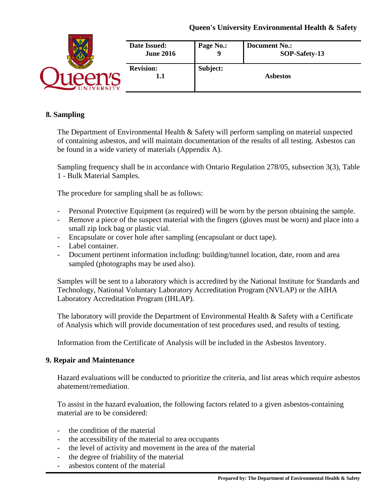|                 | Date Issued:            | Page No.: | <b>Document No.:</b> |
|-----------------|-------------------------|-----------|----------------------|
|                 | <b>June 2016</b>        | Q         | SOP-Safety-13        |
| <b>IVERSITY</b> | <b>Revision:</b><br>1.1 | Subject:  | <b>Asbestos</b>      |

#### **8. Sampling**

The Department of Environmental Health & Safety will perform sampling on material suspected of containing asbestos, and will maintain documentation of the results of all testing. Asbestos can be found in a wide variety of materials (Appendix A).

Sampling frequency shall be in accordance with Ontario Regulation 278/05, subsection 3(3), Table 1 - Bulk Material Samples.

The procedure for sampling shall be as follows:

- Personal Protective Equipment (as required) will be worn by the person obtaining the sample.
- Remove a piece of the suspect material with the fingers (gloves must be worn) and place into a small zip lock bag or plastic vial.
- Encapsulate or cover hole after sampling (encapsulant or duct tape).
- Label container.
- Document pertinent information including: building/tunnel location, date, room and area sampled (photographs may be used also).

Samples will be sent to a laboratory which is accredited by the National Institute for Standards and Technology, National Voluntary Laboratory Accreditation Program (NVLAP) or the AIHA Laboratory Accreditation Program (IHLAP).

The laboratory will provide the Department of Environmental Health  $\&$  Safety with a Certificate of Analysis which will provide documentation of test procedures used, and results of testing.

Information from the Certificate of Analysis will be included in the Asbestos Inventory.

#### **9. Repair and Maintenance**

Hazard evaluations will be conducted to prioritize the criteria, and list areas which require asbestos abatement/remediation.

To assist in the hazard evaluation, the following factors related to a given asbestos-containing material are to be considered:

- the condition of the material
- the accessibility of the material to area occupants
- the level of activity and movement in the area of the material
- the degree of friability of the material
- asbestos content of the material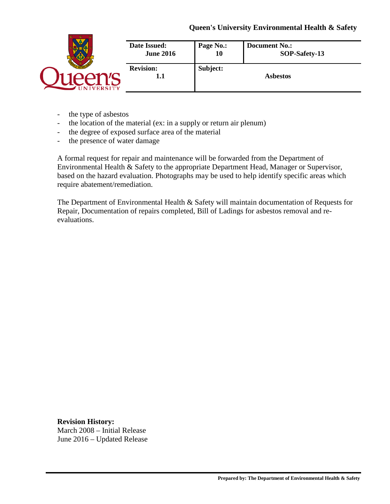|                | Date Issued:            | Page No.: | <b>Document No.:</b> |
|----------------|-------------------------|-----------|----------------------|
|                | <b>June 2016</b>        | 10        | SOP-Safety-13        |
| <b>VERSITY</b> | <b>Revision:</b><br>1.1 | Subject:  | <b>Asbestos</b>      |

- the type of asbestos
- the location of the material (ex: in a supply or return air plenum)
- the degree of exposed surface area of the material
- the presence of water damage

A formal request for repair and maintenance will be forwarded from the Department of Environmental Health & Safety to the appropriate Department Head, Manager or Supervisor, based on the hazard evaluation. Photographs may be used to help identify specific areas which require abatement/remediation.

The Department of Environmental Health & Safety will maintain documentation of Requests for Repair, Documentation of repairs completed, Bill of Ladings for asbestos removal and reevaluations.

**Revision History:**  March 2008 – Initial Release June 2016 – Updated Release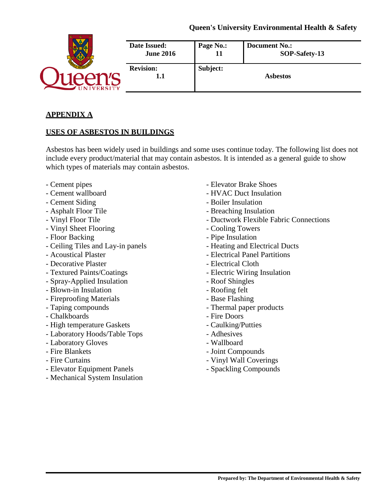|               | Date Issued:<br><b>June 2016</b> | Page No.: | <b>Document No.:</b><br>SOP-Safety-13 |
|---------------|----------------------------------|-----------|---------------------------------------|
| <b>ERSITY</b> | <b>Revision:</b><br>1.1          | Subject:  | <b>Asbestos</b>                       |

### **APPENDIX A**

### **USES OF ASBESTOS IN BUILDINGS**

Asbestos has been widely used in buildings and some uses continue today. The following list does not include every product/material that may contain asbestos. It is intended as a general guide to show which types of materials may contain asbestos.

- 
- 
- 
- 
- 
- Vinyl Sheet Flooring Cooling Towers
- 
- Ceiling Tiles and Lay-in panels Heating and Electrical Ducts
- 
- Decorative Plaster Electrical Cloth
- 
- Spray-Applied Insulation Roof Shingles
- Blown-in Insulation Roofing felt
- Fireproofing Materials Base Flashing
- 
- Chalkboards  **Fire Doors**
- High temperature Gaskets Caulking/Putties
- Laboratory Hoods/Table Tops Adhesives
- Laboratory Gloves Wallboard
- 
- 
- Elevator Equipment Panels Spackling Compounds
- Mechanical System Insulation
- Cement pipes Elevator Brake Shoes
- Cement wallboard  **HVAC Duct Insulation**
- Cement Siding Boiler Insulation
- Asphalt Floor Tile  **Breaching Insulation**
- Vinyl Floor Tile  **Ductwork Flexible Fabric Connections** 
	-
- Floor Backing The Insulation Pipe Insulation
	-
- Acoustical Plaster  $\blacksquare$ 
	-
- Textured Paints/Coatings Electric Wiring Insulation
	-
	-
	-
- Taping compounds  **Thermal paper products** 
	-
	-
	-
	-
- Fire Blankets  **Joint Compounds**
- Fire Curtains  **Vinyl Wall Coverings** 
	-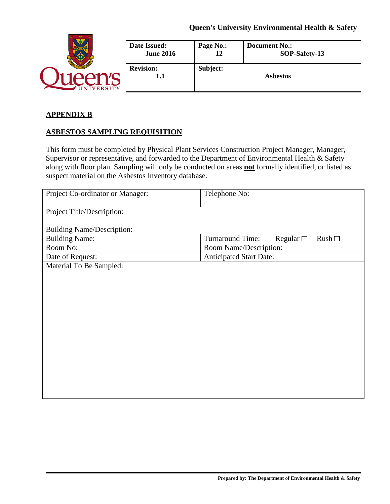|                | Date Issued:            | Page No.: | <b>Document No.:</b> |
|----------------|-------------------------|-----------|----------------------|
|                | <b>June 2016</b>        | 12        | SOP-Safety-13        |
| <b>VERSITY</b> | <b>Revision:</b><br>1.1 | Subject:  | <b>Asbestos</b>      |

#### **APPENDIX B**

### **ASBESTOS SAMPLING REQUISITION**

This form must be completed by Physical Plant Services Construction Project Manager, Manager, Supervisor or representative, and forwarded to the Department of Environmental Health & Safety along with floor plan. Sampling will only be conducted on areas **not** formally identified, or listed as suspect material on the Asbestos Inventory database.

| Project Co-ordinator or Manager:  | Telephone No:                                 |  |
|-----------------------------------|-----------------------------------------------|--|
| Project Title/Description:        |                                               |  |
| <b>Building Name/Description:</b> |                                               |  |
| <b>Building Name:</b>             | Turnaround Time:<br>Regular $\square$<br>Rush |  |
| Room No:                          | Room Name/Description:                        |  |
| Date of Request:                  | <b>Anticipated Start Date:</b>                |  |
| Material To Be Sampled:           |                                               |  |
|                                   |                                               |  |
|                                   |                                               |  |
|                                   |                                               |  |
|                                   |                                               |  |
|                                   |                                               |  |
|                                   |                                               |  |
|                                   |                                               |  |
|                                   |                                               |  |
|                                   |                                               |  |
|                                   |                                               |  |
|                                   |                                               |  |
|                                   |                                               |  |
|                                   |                                               |  |
|                                   |                                               |  |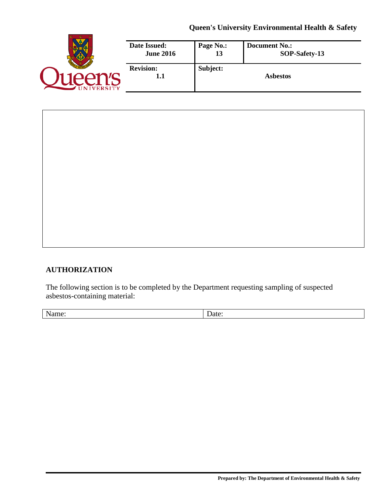|                 | Date Issued:            | Page No.: | <b>Document No.:</b> |
|-----------------|-------------------------|-----------|----------------------|
|                 | <b>June 2016</b>        | 13        | SOP-Safety-13        |
| <b>IVERSITY</b> | <b>Revision:</b><br>1.1 | Subject:  | <b>Asbestos</b>      |

# **AUTHORIZATION**

The following section is to be completed by the Department requesting sampling of suspected asbestos-containing material:

Name: Date: Date: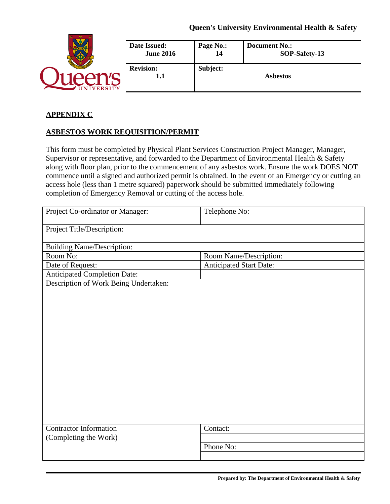|                | Date Issued:            | Page No.: | <b>Document No.:</b> |
|----------------|-------------------------|-----------|----------------------|
|                | <b>June 2016</b>        | 14        | SOP-Safety-13        |
| <b>VERSITY</b> | <b>Revision:</b><br>1.1 | Subject:  | <b>Asbestos</b>      |

### **APPENDIX C**

### **ASBESTOS WORK REQUISITION/PERMIT**

This form must be completed by Physical Plant Services Construction Project Manager, Manager, Supervisor or representative, and forwarded to the Department of Environmental Health & Safety along with floor plan, prior to the commencement of any asbestos work. Ensure the work DOES NOT commence until a signed and authorized permit is obtained. In the event of an Emergency or cutting an access hole (less than 1 metre squared) paperwork should be submitted immediately following completion of Emergency Removal or cutting of the access hole.

| Project Co-ordinator or Manager:      | Telephone No:                  |
|---------------------------------------|--------------------------------|
| Project Title/Description:            |                                |
| <b>Building Name/Description:</b>     |                                |
| Room No:                              | Room Name/Description:         |
| Date of Request:                      | <b>Anticipated Start Date:</b> |
| <b>Anticipated Completion Date:</b>   |                                |
| Description of Work Being Undertaken: |                                |
|                                       |                                |
|                                       |                                |
|                                       |                                |
|                                       |                                |
|                                       |                                |
|                                       |                                |
|                                       |                                |
|                                       |                                |
|                                       |                                |
|                                       |                                |
|                                       |                                |
|                                       |                                |
|                                       |                                |
|                                       |                                |
| <b>Contractor Information</b>         | Contact:                       |
| (Completing the Work)                 |                                |
|                                       | Phone No:                      |
|                                       |                                |
|                                       |                                |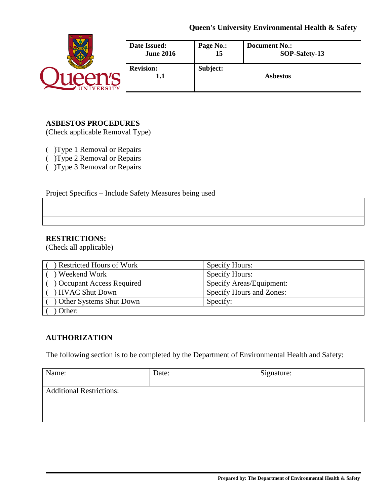|                 | Date Issued:            | Page No.: | <b>Document No.:</b> |
|-----------------|-------------------------|-----------|----------------------|
|                 | <b>June 2016</b>        | 15        | SOP-Safety-13        |
| <b>IVERSITY</b> | <b>Revision:</b><br>1.1 | Subject:  | <b>Asbestos</b>      |

### **ASBESTOS PROCEDURES**

(Check applicable Removal Type)

( )Type 1 Removal or Repairs

( )Type 2 Removal or Repairs

( )Type 3 Removal or Repairs

Project Specifics – Include Safety Measures being used

#### **RESTRICTIONS:**

(Check all applicable)

| Restricted Hours of Work        | <b>Specify Hours:</b>    |
|---------------------------------|--------------------------|
| Weekend Work                    | <b>Specify Hours:</b>    |
| <b>Occupant Access Required</b> | Specify Areas/Equipment: |
| HVAC Shut Down                  | Specify Hours and Zones: |
| Other Systems Shut Down         | Specify:                 |
| Other:                          |                          |

# **AUTHORIZATION**

The following section is to be completed by the Department of Environmental Health and Safety:

| Name:                           | Date: | Signature: |
|---------------------------------|-------|------------|
| <b>Additional Restrictions:</b> |       |            |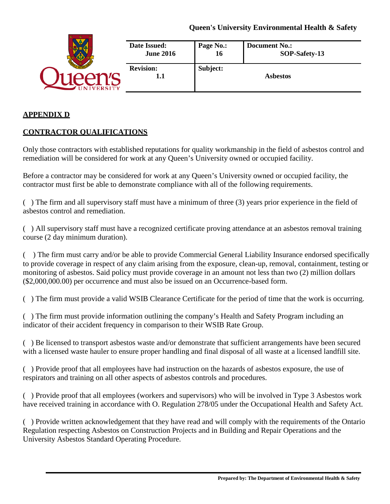|                 | <b>Date Issued:</b>     | Page No.: | <b>Document No.:</b> |
|-----------------|-------------------------|-----------|----------------------|
|                 | <b>June 2016</b>        | 16        | SOP-Safety-13        |
| <b>IVERSITY</b> | <b>Revision:</b><br>1.1 | Subject:  | <b>Asbestos</b>      |

### **APPENDIX D**

# **CONTRACTOR QUALIFICATIONS**

Only those contractors with established reputations for quality workmanship in the field of asbestos control and remediation will be considered for work at any Queen's University owned or occupied facility.

Before a contractor may be considered for work at any Queen's University owned or occupied facility, the contractor must first be able to demonstrate compliance with all of the following requirements.

( ) The firm and all supervisory staff must have a minimum of three (3) years prior experience in the field of asbestos control and remediation.

( ) All supervisory staff must have a recognized certificate proving attendance at an asbestos removal training course (2 day minimum duration).

( ) The firm must carry and/or be able to provide Commercial General Liability Insurance endorsed specifically to provide coverage in respect of any claim arising from the exposure, clean-up, removal, containment, testing or monitoring of asbestos. Said policy must provide coverage in an amount not less than two (2) million dollars (\$2,000,000.00) per occurrence and must also be issued on an Occurrence-based form.

( ) The firm must provide a valid WSIB Clearance Certificate for the period of time that the work is occurring.

( ) The firm must provide information outlining the company's Health and Safety Program including an indicator of their accident frequency in comparison to their WSIB Rate Group.

( ) Be licensed to transport asbestos waste and/or demonstrate that sufficient arrangements have been secured with a licensed waste hauler to ensure proper handling and final disposal of all waste at a licensed landfill site.

( ) Provide proof that all employees have had instruction on the hazards of asbestos exposure, the use of respirators and training on all other aspects of asbestos controls and procedures.

( ) Provide proof that all employees (workers and supervisors) who will be involved in Type 3 Asbestos work have received training in accordance with O. Regulation 278/05 under the Occupational Health and Safety Act.

( ) Provide written acknowledgement that they have read and will comply with the requirements of the Ontario Regulation respecting Asbestos on Construction Projects and in Building and Repair Operations and the University Asbestos Standard Operating Procedure.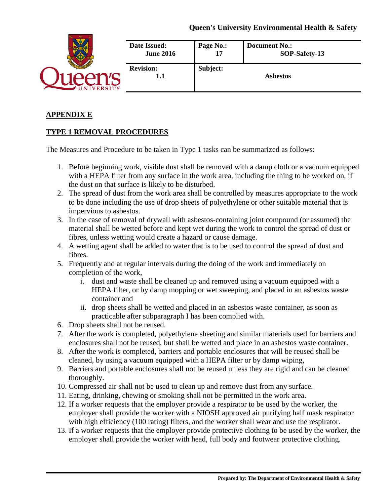|                  | Date Issued:            | Page No.: | <b>Document No.:</b> |
|------------------|-------------------------|-----------|----------------------|
|                  | <b>June 2016</b>        | 17        | SOP-Safety-13        |
| <b>NIVERSITY</b> | <b>Revision:</b><br>1.1 | Subject:  | <b>Asbestos</b>      |

# **APPENDIX E**

# **TYPE 1 REMOVAL PROCEDURES**

The Measures and Procedure to be taken in Type 1 tasks can be summarized as follows:

- 1. Before beginning work, visible dust shall be removed with a damp cloth or a vacuum equipped with a HEPA filter from any surface in the work area, including the thing to be worked on, if the dust on that surface is likely to be disturbed.
- 2. The spread of dust from the work area shall be controlled by measures appropriate to the work to be done including the use of drop sheets of polyethylene or other suitable material that is impervious to asbestos.
- 3. In the case of removal of drywall with asbestos-containing joint compound (or assumed) the material shall be wetted before and kept wet during the work to control the spread of dust or fibres, unless wetting would create a hazard or cause damage.
- 4. A wetting agent shall be added to water that is to be used to control the spread of dust and fibres.
- 5. Frequently and at regular intervals during the doing of the work and immediately on completion of the work,
	- i. dust and waste shall be cleaned up and removed using a vacuum equipped with a HEPA filter, or by damp mopping or wet sweeping, and placed in an asbestos waste container and
	- ii. drop sheets shall be wetted and placed in an asbestos waste container, as soon as practicable after subparagraph I has been complied with.
- 6. Drop sheets shall not be reused.
- 7. After the work is completed, polyethylene sheeting and similar materials used for barriers and enclosures shall not be reused, but shall be wetted and place in an asbestos waste container.
- 8. After the work is completed, barriers and portable enclosures that will be reused shall be cleaned, by using a vacuum equipped with a HEPA filter or by damp wiping,
- 9. Barriers and portable enclosures shall not be reused unless they are rigid and can be cleaned thoroughly.
- 10. Compressed air shall not be used to clean up and remove dust from any surface.
- 11. Eating, drinking, chewing or smoking shall not be permitted in the work area.
- 12. If a worker requests that the employer provide a respirator to be used by the worker, the employer shall provide the worker with a NIOSH approved air purifying half mask respirator with high efficiency (100 rating) filters, and the worker shall wear and use the respirator.
- 13. If a worker requests that the employer provide protective clothing to be used by the worker, the employer shall provide the worker with head, full body and footwear protective clothing.